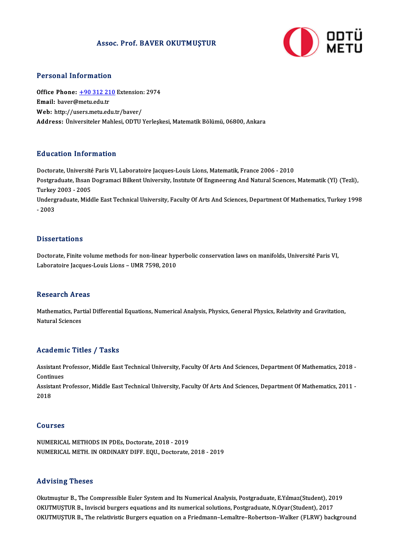### Assoc. Prof. BAVER OKUTMUŞTUR



#### Personal Information

Personal Information<br>Office Phone: <u>+90 312 210</u> Extension: 2974 office Phone: <u>+90 312 21</u><br>Email: baver@[metu.edu.tr](tel:+90 312 210)<br>Web. http://weere.metu.ed Office Phone: <u>+90 312 210</u> Extension<br>Email: baver@metu.edu.tr<br>Web: http://users.metu.edu.tr/baver/ Email: baver@metu.edu.tr<br>Web: http://users.metu.edu.tr/baver/<br>Address: Üniversiteler Mahlesi, ODTU Yerleşkesi, Matematik Bölümü, 06800, Ankara

#### Education Information

Education Information<br>Doctorate, Université Paris VI, Laboratoire Jacques-Louis Lions, Matematik, France 2006 - 2010<br>Postsreducte Jhean Dosramasi Billiont University, Institute Of Engmeeuus And Natural Saenaes Postgraduate, Ihsan Dogramaci Bilkent University, Institute Of Engineering And Natural Sciences, Matematik (Yl) (Tezli),<br>Turkey 2003 - 2005 Doctorate, Université<br>Postgraduate, Ihsan<br>Turkey 2003 - 2005<br>Undergraduate, Mide Postgraduate, Ihsan Dogramaci Bilkent University, Institute Of Engineering And Natural Sciences, Matematik (Yl) (Tezli),<br>Turkey 2003 - 2005<br>Undergraduate, Middle East Technical University, Faculty Of Arts And Sciences, Dep

Turkey<br>Underg<br>- 2003 - 2003<br>Dissertations

Doctorate, Finite volume methods for non-linear hyperbolic conservation laws on manifolds, Université Paris VI, Laboratoire Jacques-Louis Lions - UMR 7598, 2010

#### **Research Areas**

Research Areas<br>Mathematics, Partial Differential Equations, Numerical Analysis, Physics, General Physics, Relativity and Gravitation,<br>Natural Sciences Nebeur en 111 e<br>Mathematics, Par<br>Natural Sciences

# Natural Sciences<br>Academic Titles / Tasks

Academic Titles / Tasks<br>Assistant Professor, Middle East Technical University, Faculty Of Arts And Sciences, Department Of Mathematics, 2018 -<br>Continues Assistant P<br>Continues<br>Assistant P Assistant Professor, Middle East Technical University, Faculty Of Arts And Sciences, Department Of Mathematics, 2018 -<br>Continues<br>Assistant Professor, Middle East Technical University, Faculty Of Arts And Sciences, Departme Continues<br>Assistant Professor, Middle East Technical University, Faculty Of Arts And Sciences, Department Of Mathematics, 2011 -<br>2018

#### Courses

NUMERICALMETHODS INPDEs,Doctorate,2018 -2019 NUMERICAL METH. IN ORDINARY DIFF. EQU., Doctorate, 2018 - 2019

#### Advising Theses

Advising Theses<br>Okutmuştur B., The Compressible Euler System and Its Numerical Analysis, Postgraduate, E.Yılmaz(Student), 2019<br>OKUTMUSTUR B., Invissid burgers equations and its numerical solutions. Postgraduate, N.Over(Stu THE FISTING THESSES<br>Okutmuştur B., The Compressible Euler System and Its Numerical Analysis, Postgraduate, E.Yılmaz(Student), 20<br>OKUTMUSTUR B., Inviscid burgers equations and its numerical solutions, Postgraduate, N.Oyar(S Okutmuştur B., The Compressible Euler System and Its Numerical Analysis, Postgraduate, E.Yılmaz(Student), 2019<br>OKUTMUŞTUR B., Inviscid burgers equations and its numerical solutions, Postgraduate, N.Oyar(Student), 2017<br>OKUT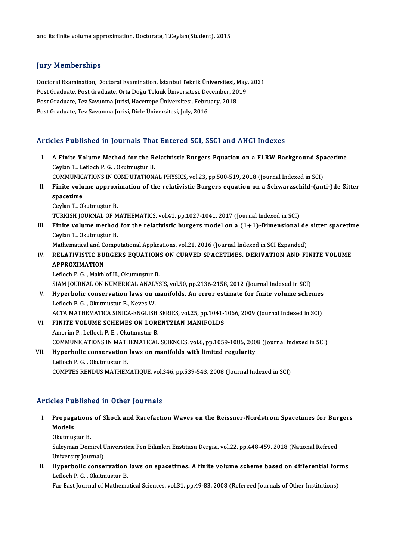### **Jury Memberships**

**Jury Memberships<br>Doctoral Examination, Doctoral Examination, İstanbul Teknik Üniversitesi, May, 2021**<br>Post Craduate Post Craduate Orta Doğu Teknik Üniversitesi Desember 2019 Jury Tremberempe<br>Doctoral Examination, Doctoral Examination, İstanbul Teknik Üniversitesi, May,<br>Post Graduate, Post Graduate, Orta Doğu Teknik Üniversitesi, December, 2019<br>Post Graduate, Tez Savunma Jurisi, Hasettane Ünive Doctoral Examination, Doctoral Examination, İstanbul Teknik Üniversitesi, N<br>Post Graduate, Post Graduate, Orta Doğu Teknik Üniversitesi, December, 20<br>Post Graduate, Tez Savunma Jurisi, Hacettepe Üniversitesi, February, 201 Post Graduate, Post Graduate, Orta Doğu Teknik Üniversitesi, December, 2019<br>Post Graduate, Tez Savunma Jurisi, Hacettepe Üniversitesi, February, 2018<br>Post Graduate, Tez Savunma Jurisi, Dicle Üniversitesi, July, 2016

#### Articles Published in Journals That Entered SCI, SSCI and AHCI Indexes

- rticles Published in Journals That Entered SCI, SSCI and AHCI Indexes<br>I. A Finite Volume Method for the Relativistic Burgers Equation on a FLRW Background Spacetime A Finite Volume Method for the Representing The Ceylan T., Lefloch P. G., Okutmuştur B.<br>Ceylan T., Lefloch P. G., Okutmuştur B. A Finite Volume Method for the Relativistic Burgers Equation on a FLRW Background Spa<br>Ceylan T., Lefloch P. G. , Okutmuştur B.<br>COMMUNICATIONS IN COMPUTATIONAL PHYSICS, vol.23, pp.500-519, 2018 (Journal Indexed in SCI)<br>Fini Ceylan T., Lefloch P. G. , Okutmuştur B.<br>COMMUNICATIONS IN COMPUTATIONAL PHYSICS, vol.23, pp.500-519, 2018 (Journal Indexed in SCI)<br>II. Finite volume approximation of the relativistic Burgers equation on a Schwarzschild-(a COMMUNICATIONS IN COMPUTATIONAL PHYSICS, vol.23, pp.500-519, 2018 (Journal Indexed in SCI)<br>Finite volume approximation of the relativistic Burgers equation on a Schwarzschild-(an<br>spacetime<br>Ceylan T., Okutmuştur B. Finite volume approxi<br>spacetime<br>Ceylan T., Okutmuştur B.<br>TURKISH JOURNAL OF M spacetime<br>Ceylan T., Okutmuştur B.<br>TURKISH JOURNAL OF MATHEMATICS, vol.41, pp.1027-1041, 2017 (Journal Indexed in SCI)<br>Finite volume mathed for the relativistic burgers model en a (1+1). Dimensional III. Finite volume method for the relativistic burgers model on a  $(1+1)$ -Dimensional de sitter spacetime Ceylan T., Okutmustur B. TURKISH JOURNAL OF M<br>Finite volume method<br>Ceylan T., Okutmuştur B.<br>Mathematical and Compu Mathematical and Computational Applications, vol.21, 2016 (Journal Indexed in SCI Expanded) Ceylan T., Okutmuştur B.<br>Mathematical and Computational Applications, vol.21, 2016 (Journal Indexed in SCI Expanded)<br>IV. RELATIVISTIC BURGERS EQUATIONS ON CURVED SPACETIMES. DERIVATION AND FINITE VOLUME Mathematical and C<br>RELATIVISTIC BU<br>APPROXIMATION<br>Leflach B.C. Makhl RELATIVISTIC BURGERS EQUATION:<br>APPROXIMATION<br>Lefloch P. G. , Makhlof H., Okutmuştur B.<br>SIAM IQUENAL ON NUMERICAL ANALYS APPROXIMATION<br>Lefloch P. G. , Makhlof H., Okutmuştur B.<br>SIAM JOURNAL ON NUMERICAL ANALYSIS, vol.50, pp.2136-2158, 2012 (Journal Indexed in SCI)<br>Hunorhalis consequention laws on manifolds. An error estimate for finite volum Lefloch P. G. , Makhlof H., Okutmuştur B.<br>SIAM JOURNAL ON NUMERICAL ANALYSIS, vol.50, pp.2136-2158, 2012 (Journal Indexed in SCI)<br>V. Hyperbolic conservation laws on manifolds. An error estimate for finite volume schemes<br>Le SIAM JOURNAL ON NUMERICAL ANALY<br>Hyperbolic conservation laws on r<br>Lefloch P. G. , Okutmustur B., Neves W.<br>ACTA MATHEMATICA SINICA ENCLISE
- Hyperbolic conservation laws on manifolds. An error estimate for finite volume schemes<br>Lefloch P. G. , Okutmustur B., Neves W.<br>ACTA MATHEMATICA SINICA-ENGLISH SERIES, vol.25, pp.1041-1066, 2009 (Journal Indexed in SCI)<br>EIN Lefloch P. G., Okutmustur B., Neves W.<br>ACTA MATHEMATICA SINICA-ENGLISH SERIES, vol.25, pp.1041-<br>VI. FINITE VOLUME SCHEMES ON LORENTZIAN MANIFOLDS<br>Amorim P., Lefloch P. E., Okutmustur B. ACTA MATHEMATICA SINICA-ENGLISH SERIES, vol.25, pp.1041-1066, 2009 (Journal Indexed in SCI)
- COMMUNICATIONS IN MATHEMATICAL SCIENCES, vol.6, pp.1059-1086, 2008 (Journal Indexed in SCI) Amorim P., Lefloch P. E. , Okutmustur B.<br>COMMUNICATIONS IN MATHEMATICAL SCIENCES, vol.6, pp.1059-1086, 200<br>VII. Hyperbolic conservation laws on manifolds with limited regularity<br>Lefloch B. C. Okutmustur B.

## COMMUNICATIONS IN MATH<br>Hyperbolic conservation<br>Lefloch P. G. , Okutmustur B.<br>COMPTES PENDUS MATHEM Lefloch P. G., Okutmustur B.<br>COMPTES RENDUS MATHEMATIQUE, vol.346, pp.539-543, 2008 (Journal Indexed in SCI)

#### Articles Published in Other Journals

- rticles Published in Other Journals<br>I. Propagations of Shock and Rarefaction Waves on the Reissner-Nordström Spacetimes for Burgers<br>Models Acs 1 a<br>Propaga<br>Models<br><sup>Olutmus</sup> Propagations<br>Models<br>Okutmuştur B.<br>Sülerman Dam
	-

Models<br>Okutmuştur B.<br>Süleyman Demirel Üniversitesi Fen Bilimleri Enstitüsü Dergisi, vol.22, pp.448-459, 2018 (National Refreed<br>University Jeurnal) Okutmuştur B.<br>Süleyman Demirel İ<br>University Journal)<br>Hunorbelia senae Süleyman Demirel Üniversitesi Fen Bilimleri Enstitüsü Dergisi, vol.22, pp.448-459, 2018 (National Refreed<br>University Journal)<br>II. Hyperbolic conservation laws on spacetimes. A finite volume scheme based on differential for

University Journal)<br>II. Hyperbolic conservation laws on spacetimes. A finite volume scheme based on differential forms<br>Lefloch P. G. , Okutmustur B.

Far East Journal of Mathematical Sciences, vol.31, pp.49-83, 2008 (Refereed Journals of Other Institutions)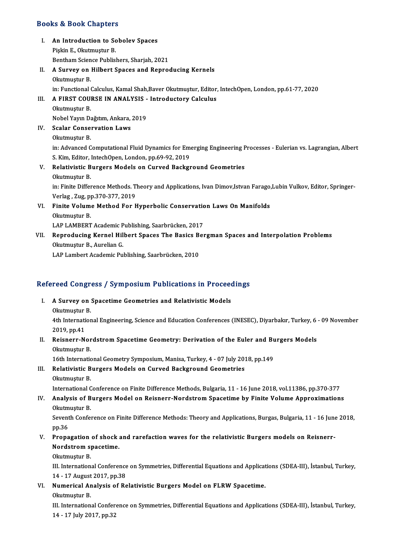#### Books&Book Chapters

- ooks & Book Chapters<br>I. An Introduction to Sobolev Spaces<br>Rickin E. Olatmustur B end 2008 undpected<br>An Introduction to Sc<br>Pişkin E., Okutmuştur B.<br>Bontham Sciance Bublis An Introduction to Sobolev Spaces<br>Pişkin E., Okutmuştur B.<br>Bentham Science Publishers, Sharjah, 2021<br>A Survey on Hilbert Spaces and Benres
- Pişkin E., Okutmuştur B.<br>Bentham Science Publishers, Sharjah, 2021<br>II. A Survey on Hilbert Spaces and Reproducing Kernels<br>Okutmuştur B. Bentham Scien<br>**A Survey on**<br>Okutmuştur B.<br>in:Eunctional ( in: Functional Calculus, Kamal Shah,Baver Okutmuştur, Editor, IntechOpen, London, pp.61-77, 2020 Okutmuştur B.<br>in: Functional Calculus, Kamal Shah,Baver Okutmuştur, Editor,<br>III. A FIRST COURSE IN ANALYSIS - Introductory Calculus<br>Okutmuştur B

## in: Functional (<br>**A FIRST COU**)<br>Okutmuştur B.<br>Nobel Yaun De A FIRST COURSE IN ANALYSIS -<br>Okutmuştur B.<br>Nobel Yayın Dağıtım, Ankara, 2019<br>Sealar Conservation Laws Okutmuştur B.<br>Nobel Yayın Dağıtım, Ankara,<br>IV. Scalar Conservation Laws<br>Okutmustur B. Nobel Yayın Dağıtım, Ankara, 2019

- Scalar Conservation Laws<br>Okutmuştur B.<br>in: Advanced Computational Fluid Dynamics for Emerging Engineering Processes Eulerian vs. Lagrangian, Albert<br>S. Kim. Editor. IntechOpen, London, np.69,92,2019. Okutmuştur B.<br>in: Advanced Computational Fluid Dynamics for Emergion.<br>S. Kim, Editor, IntechOpen, London, pp.69-92, 2019<br>Relativistie Burgers Models en Guryed Bosksy in: Advanced Computational Fluid Dynamics for Emerging Engineering F<br>S. Kim, Editor, IntechOpen, London, pp.69-92, 2019<br>V. Relativistic Burgers Models on Curved Background Geometries<br>Olutmustur P.
- S. Kim, Editor, IntechOpen, London, pp.69-92, 2019<br>V. Relativistic Burgers Models on Curved Background Geometries<br>Okutmuştur B. Relativistic Burgers Models on Curved Background Geometries<br>Okutmuştur B.<br>in: Finite Difference Methods. Theory and Applications, Ivan Dimov,Istvan Farago,Lubin Vulkov, Editor, Springer-<br>Verleg, Zug, np.370,377, 2010 Okutmuştur B.<br>in: Finite Difference Methods. T.<br>Verlag , Zug, pp.370-377, 2019<br>Finite Volume Method Fer L in: Finite Difference Methods. Theory and Applications, Ivan Dimov,Istvan Farago,<br>Verlag , Zug, pp.370-377, 2019<br>VI. Finite Volume Method For Hyperbolic Conservation Laws On Manifolds<br>Olatmustur B
- Verlag , Zug, pp.370-377, 2019<br>Finite Volume Method For Hyperbolic Conservation<br>Okutmuştur B.<br>LAP LAMBERT Academic Publishing, Saarbrücken, 2017 Finite Volume Method For Hyperbolic Conservation<br>Okutmuştur B.<br>LAP LAMBERT Academic Publishing, Saarbrücken, 2017<br>Pennoduging Kernel Hilbert Spages The Basiss Ber

Okutmuştur B.<br>LAP LAMBERT Academic Publishing, Saarbrücken, 2017<br>VII. Reproducing Kernel Hilbert Spaces The Basics Bergman Spaces and Interpolation Problems<br>Okutmustur B. Aurelian C LAP LAMBERT Academic P<br>Reproducing Kernel Hil<br>Okutmuştur B., Aurelian G.<br>LAP Lambart Acadamic Bul Reproducing Kernel Hilbert Spaces The Basics B<br>Okutmuştur B., Aurelian G.<br>LAP Lambert Academic Publishing, Saarbrücken, 2010

# LAP Lambert Academic Publishing, Saarbrucken, 2010<br>Refereed Congress / Symposium Publications in Proceedings

- efereed Congress / Symposium Publications in Proceed<br>I. A Survey on Spacetime Geometries and Relativistic Models I. A Survey on Spacetime Geometries and Relativistic Models<br>Okutmuştur B. A Survey on Spacetime Geometries and Relativistic Models<br>Okutmuştur B.<br>4th International Engineering, Science and Education Conferences (INESEC), Diyarbakır, Turkey, 6 - 09 November Okutmuştur<br>4th Internati<br>2019, pp.41<br>Poisnern N 4th International Engineering, Science and Education Conferences (INESEC), Diyarbakır, Turkey, 6<br>2019, pp.41<br>II. Reisnerr-Nordstrom Spacetime Geometry: Derivation of the Euler and Burgers Models<br>Olutmustur P
- 2019, pp.41<br>II. Reisnerr-Nordstrom Spacetime Geometry: Derivation of the Euler and Burgers Models<br>Okutmustur B. Reisnerr-Nordstrom Spacetime Geometry: Derivation of the Euler and Bu<br>Okutmuştur B.<br>16th International Geometry Symposium, Manisa, Turkey, 4 - 07 July 2018, pp.149<br>Polativistic Burgers Models on Guryed Boskground Geometrie

Okutmuştur B.<br>16th International Geometry Symposium, Manisa, Turkey, 4 - 07 July 20:<br>III. Relativistic Burgers Models on Curved Background Geometries 16th Internation<br>Relativistic B.<br>Okutmuştur B.<br>International C Relativistic Burgers Models on Curved Background Geometries<br>Okutmuştur B.<br>International Conference on Finite Difference Methods, Bulgaria, 11 - 16 June 2018, vol.11386, pp.370-377<br>Analysis of Burgers Model on Beisporr Nord

Okutmuştur B.<br>International Conference on Finite Difference Methods, Bulgaria, 11 - 16 June 2018, vol.11386, pp.370-377<br>IV. Analysis of Burgers Model on Reisnerr-Nordstrom Spacetime by Finite Volume Approximations<br>Obvinati International C<br>**Analysis of B**<br>Okutmuştur B.<br>Seventh Cenfel IV. Analysis of Burgers Model on Reisnerr-Nordstrom Spacetime by Finite Volume Approximations<br>Okutmuştur B.<br>Seventh Conference on Finite Difference Methods: Theory and Applications, Burgas, Bulgaria, 11 - 16 June 2018,<br>pp. Okutmuştur B.

Seventh Conference on Finite Difference Methods: Theory and Applications, Burgas, Bulgaria, 11 - 16 June pp.36<br>V. Propagation of shock and rarefaction waves for the relativistic Burgers models on Reisnerr-Nordstrom spagati

## pp.36<br>Propagation of shock<br>Nordstrom spacetime.<br>Olatmustur B Propagation<br>Nordstrom sp<br>Okutmuştur B.<br><sup>III</sup> Internation Nordstrom spacetime.<br>Okutmuştur B.<br>III. International Conference on Symmetries, Differential Equations and Applications (SDEA-III), İstanbul, Turkey,

14 -17August2017,pp.38 III. International Conference on Symmetries, Differential Equations and Applicat<br>14 - 17 August 2017, pp.38<br>VI. Numerical Analysis of Relativistic Burgers Model on FLRW Spacetime.<br>Obviousning B 14 - 17 August<br>Numerical Ar<br>Okutmuştur B.<br>W. Internation

- -

Numerical Analysis of Relativistic Burgers Model on FLRW Spacetime.<br>Okutmuştur B.<br>III. International Conference on Symmetries, Differential Equations and Applications (SDEA-III), İstanbul, Turkey,<br>14. 17 July 2017, pp.32 0kutmuştur B.<br>III. International Confer<br>14 - 17 July 2017, pp.32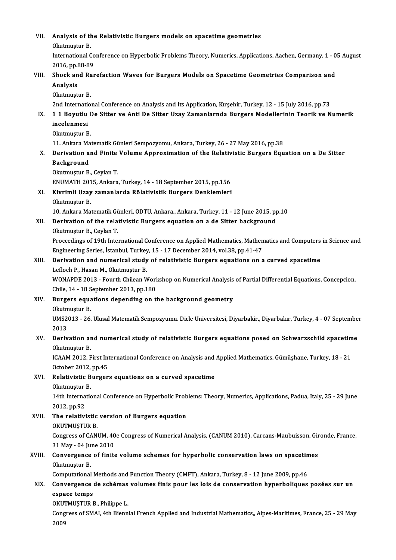| VII.   | Analysis of the Relativistic Burgers models on spacetime geometries                                                                               |
|--------|---------------------------------------------------------------------------------------------------------------------------------------------------|
|        | Okutmuştur B.<br>International Conference on Hyperbolic Problems Theory, Numerics, Applications, Aachen, Germany, 1 - 05 August<br>2016, pp 88-89 |
| VIII.  | Shock and Rarefaction Waves for Burgers Models on Spacetime Geometries Comparison and                                                             |
|        | Analysis<br>Okutmuştur B.                                                                                                                         |
|        | 2nd International Conference on Analysis and Its Application, Kırşehir, Turkey, 12 - 15 July 2016, pp.73                                          |
| IX.    | 11 Boyutlu De Sitter ve Anti De Sitter Uzay Zamanlarnda Burgers Modellerinin Teorik ve Numerik<br>incelenmesi                                     |
|        | Okutmuştur B.                                                                                                                                     |
|        | 11. Ankara Matematik Günleri Sempozyomu, Ankara, Turkey, 26 - 27 May 2016, pp.38                                                                  |
| X.     | Derivation and Finite Volume Approximation of the Relativistic Burgers Equation on a De Sitter<br><b>Background</b>                               |
|        | Okutmuştur B., Ceylan T.                                                                                                                          |
| XI.    | ENUMATH 2015, Ankara, Turkey, 14 - 18 September 2015, pp.156<br>Kivrimli Uzay zamanlarda Rölativistik Burgers Denklemleri                         |
|        | Okutmuştur B.                                                                                                                                     |
|        | 10. Ankara Matematik Günleri, ODTU, Ankara, Ankara, Turkey, 11 - 12 June 2015, pp.10                                                              |
| XII.   | Derivation of the relativistic Burgers equation on a de Sitter background                                                                         |
|        | Okutmuştur B., Ceylan T.                                                                                                                          |
|        | Proccedings of 19th International Conference on Applied Mathematics, Mathematics and Computers in Science and                                     |
|        | Engineering Series, İstanbul, Turkey, 15 - 17 December 2014, vol.38, pp.41-47                                                                     |
| XIII.  | Derivation and numerical study of relativistic Burgers equations on a curved spacetime<br>Lefloch P., Hasan M., Okutmuştur B.                     |
|        | WONAPDE 2013 - Fourth Chilean Workshop on Numerical Analysis of Partial Differential Equations, Concepcion,                                       |
|        | Chile, 14 - 18 September 2013, pp 180                                                                                                             |
| XIV.   | Burgers equations depending on the background geometry                                                                                            |
|        | Okutmustur B.                                                                                                                                     |
|        | UMS2013 - 26. Ulusal Matematik Sempozyumu. Dicle Universitesi, Diyarbakir., Diyarbakır, Turkey, 4 - 07 September<br>2013                          |
| XV.    | Derivation and numerical study of relativistic Burgers equations posed on Schwarzschild spacetime<br>Okutmuştur B.                                |
|        | ICAAM 2012, First International Conference on Analysis and Applied Mathematics, Gümüşhane, Turkey, 18 - 21<br>October 2012, pp 45                 |
| XVI.   | Relativistic Burgers equations on a curved spacetime<br>Okutmuştur B.                                                                             |
|        | 14th International Conference on Hyperbolic Problems: Theory, Numerics, Applications, Padua, Italy, 25 - 29 June<br>2012, pp.92                   |
| XVII.  | The relativistic version of Burgers equation<br>OKUTMUŞTUR B.                                                                                     |
|        | Congress of CANUM, 40e Congress of Numerical Analysis, (CANUM 2010), Carcans-Maubuisson, Gironde, France,                                         |
| XVIII. | 31 May - 04 June 2010<br>Convergence of finite volume schemes for hyperbolic conservation laws on spacetimes                                      |
|        | Okutmuştur B.                                                                                                                                     |
|        | Computational Methods and Function Theory (CMFT), Ankara, Turkey, 8 - 12 June 2009, pp.46                                                         |
| XIX.   | Convergence de schémas volumes finis pour les lois de conservation hyperboliques posées sur un<br>espace temps                                    |
|        | OKUTMUŞTUR B., Philippe L.                                                                                                                        |
|        | Congress of SMAI, 4th Biennial French Applied and Industrial Mathematics,, Alpes-Maritimes, France, 25 - 29 May<br>2009                           |
|        |                                                                                                                                                   |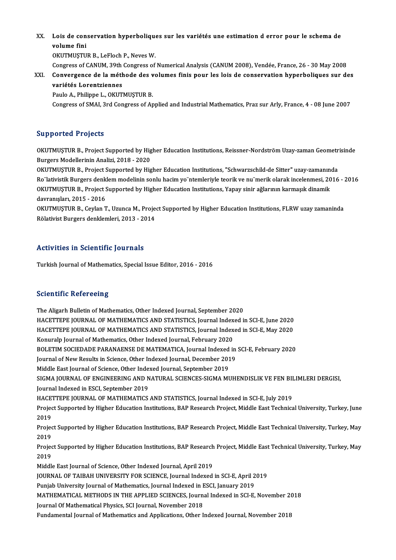## XX. Lois de conservation hyperboliques sur les variétés une estimation d error pour le schema de Lois de con<br>volume fini<br>ovurmustu volume fini<br>OKUTMUSTUR B., LeFloch P., Neves W.

Congress of CANUM, 39th Congress of Numerical Analysis (CANUM 2008), Vendée, France, 26 - 30 May 2008

XXI. Convergence de laméthode des volumes finis pour les lois de conservation hyperboliques sur des variétés Lorentziennes

Paulo A., Philippe L., OKUTMUŞTUR B.

Congress of SMAI, 3rd Congress of Applied and Industrial Mathematics, Praz sur Arly, France, 4 - 08 June 2007

#### Supported Projects

Supported Projects<br>OKUTMUŞTUR B., Project Supported by Higher Education Institutions, Reissner-Nordström Uzay-zaman Geometrisinde<br>Burgare Modellerinin Anelizi 2018–2020 Burgers Modellerinin Analizi, 2018 - 2020<br>Burgers Modellerinin Analizi, 2018 - 2020<br>OKUTMUSTUR B., Broject Supported by Hig OKUTMUŞTUR B., Project Supported by Higher Education Institutions, Reissner-Nordström Uzay-zaman Geometr<br>Burgers Modellerinin Analizi, 2018 - 2020<br>OKUTMUŞTUR B., Project Supported by Higher Education Institutions, "Schwarz

Burgers Modellerinin Analizi, 2018 - 2020<br>OKUTMUŞTUR B., Project Supported by Higher Education Institutions, "Schwarzschild-de Sitter" uzay-zamanında<br>Ro¨lativistik Burgers denklem modelinin sonlu hacim yo¨ntemleriyle teori OKUTMUŞTUR B., Project Supported by Higher Education Institutions, "Schwarzschild-de Sitter" uzay-zamanında<br>Ro"lativistik Burgers denklem modelinin sonlu hacim yo"ntemleriyle teorik ve nu"merik olarak incelenmesi, 2016<br>OKU Ro"lativistik Burgers denk<br>OKUTMUŞTUR B., Project S<br>davranışları, 2015 - 2016<br>OKUTMUSTUR B. Caylar T OKUTMUŞTUR B., Project Supported by Higher Education Institutions, Yapay sinir ağlarının karmaşık dinamik<br>davranışları, 2015 - 2016<br>OKUTMUŞTUR B., Ceylan T., Uzunca M., Project Supported by Higher Education Institutions, F

OKUTMUŞTUR B., Ceylan T., Uzunca M., Project Supported by Higher Education Institutions, FLRW uzay zamaninda<br>Rölativist Burgers denklemleri, 2013 - 2014

#### Activities in Scientific Journals

Turkish Journal of Mathematics, Special Issue Editor, 2016 - 2016

#### **Scientific Refereeing**

The Aligarh Bulletin of Mathematics, Other Indexed Journal, September 2020 Berentifice Refer Senig<br>The Aligarh Bulletin of Mathematics, Other Indexed Journal, September 2020<br>HACETTEPE JOURNAL OF MATHEMATICS AND STATISTICS, Journal Indexed in SCI-E, June 2020<br>HACETTEPE JOURNAL OF MATHEMATICS AND S The Aligarh Bulletin of Mathematics, Other Indexed Journal, September 2020<br>HACETTEPE JOURNAL OF MATHEMATICS AND STATISTICS, Journal Indexed in SCI-E, June 2020<br>HACETTEPE JOURNAL OF MATHEMATICS AND STATISTICS, Journal Index HACETTEPE JOURNAL OF MATHEMATICS AND STATISTICS, Journal Indexed in SCI-E, May 2020<br>Konuralp Journal of Mathematics. Other Indexed Journal, February 2020 HACETTEPE JOURNAL OF MATHEMATICS AND STATISTICS, Journal Indexed in SCI-E, May 2020<br>Konuralp Journal of Mathematics, Other Indexed Journal, February 2020<br>BOLETIM SOCIEDADE PARANAENSE DE MATEMATICA, Journal Indexed in SCI-E Konuralp Journal of Mathematics, Other Indexed Journal, February 2020<br>BOLETIM SOCIEDADE PARANAENSE DE MATEMATICA, Journal Indexed in<br>Journal of New Results in Science, Other Indexed Journal, December 2019<br>Middle Fast Journ BOLETIM SOCIEDADE PARANAENSE DE MATEMATICA, Journal Indexed<br>Journal of New Results in Science, Other Indexed Journal, December 201<br>Middle East Journal of Science, Other Indexed Journal, September 2019<br>SICMA JOURNAL OF ENCI Journal of New Results in Science, Other Indexed Journal, December 2019<br>Middle East Journal of Science, Other Indexed Journal, September 2019<br>SIGMA JOURNAL OF ENGINEERING AND NATURAL SCIENCES-SIGMA MUHENDISLIK VE FEN BILIM Journal Indexed in ESCI, September 2019 SIGMA JOURNAL OF ENGINEERING AND NATURAL SCIENCES-SIGMA MUHENDISLIK VE FEN BII<br>Journal Indexed in ESCI, September 2019<br>HACETTEPE JOURNAL OF MATHEMATICS AND STATISTICS, Journal Indexed in SCI-E, July 2019<br>Project Supported Journal Indexed in ESCI, September 2019<br>HACETTEPE JOURNAL OF MATHEMATICS AND STATISTICS, Journal Indexed in SCI-E, July 2019<br>Project Supported by Higher Education Institutions, BAP Research Project, Middle East Technical U HACE<br>Projec<br>2019<br>Projec Project Supported by Higher Education Institutions, BAP Research Project, Middle East Technical University, Turkey, June<br>2019<br>Project Supported by Higher Education Institutions, BAP Research Project, Middle East Technical 2019<br>Project Supported by Higher Education Institutions, BAP Research Project, Middle East Technical University, Turkey, May<br>2019 Project Supported by Higher Education Institutions, BAP Research Project, Middle East Technical University, Turkey, May<br>2019<br>Project Supported by Higher Education Institutions, BAP Research Project, Middle East Technical U 2019<br>Projec<br>2019<br>Middl Project Supported by Higher Education Institutions, BAP Research<br>2019<br>Middle East Journal of Science, Other Indexed Journal, April 2019<br>JOURNAL OF TAJRAH UNIVERSITY FOR SCIENCE Journal Indexed 2019<br>Middle East Journal of Science, Other Indexed Journal, April 2019<br>JOURNAL OF TAIBAH UNIVERSITY FOR SCIENCE, Journal Indexed in SCI-E, April 2019<br>Puniah University Journal of Mathematics, Journal Indexed in ESCI, Janua Middle East Journal of Science, Other Indexed Journal, April 2019<br>JOURNAL OF TAIBAH UNIVERSITY FOR SCIENCE, Journal Indexed in SCI-E, April 2<br>Punjab University Journal of Mathematics, Journal Indexed in ESCI, January 2019<br> JOURNAL OF TAIBAH UNIVERSITY FOR SCIENCE, Journal Indexed in SCI-E, April 2019<br>Punjab University Journal of Mathematics, Journal Indexed in ESCI, January 2019<br>MATHEMATICAL METHODS IN THE APPLIED SCIENCES, Journal Indexed i Punjab University Journal of Mathematics, Journal Indexed in ESCI, January 2019<br>MATHEMATICAL METHODS IN THE APPLIED SCIENCES, Journal Indexed in SCI-E, November 20<br>Journal Of Mathematical Physics, SCI Journal, November 201 MATHEMATICAL METHODS IN THE APPLIED SCIENCES, Journal Indexed in SCI-E, November 2(<br>Journal Of Mathematical Physics, SCI Journal, November 2018<br>Fundamental Journal of Mathematics and Applications, Other Indexed Journal, No